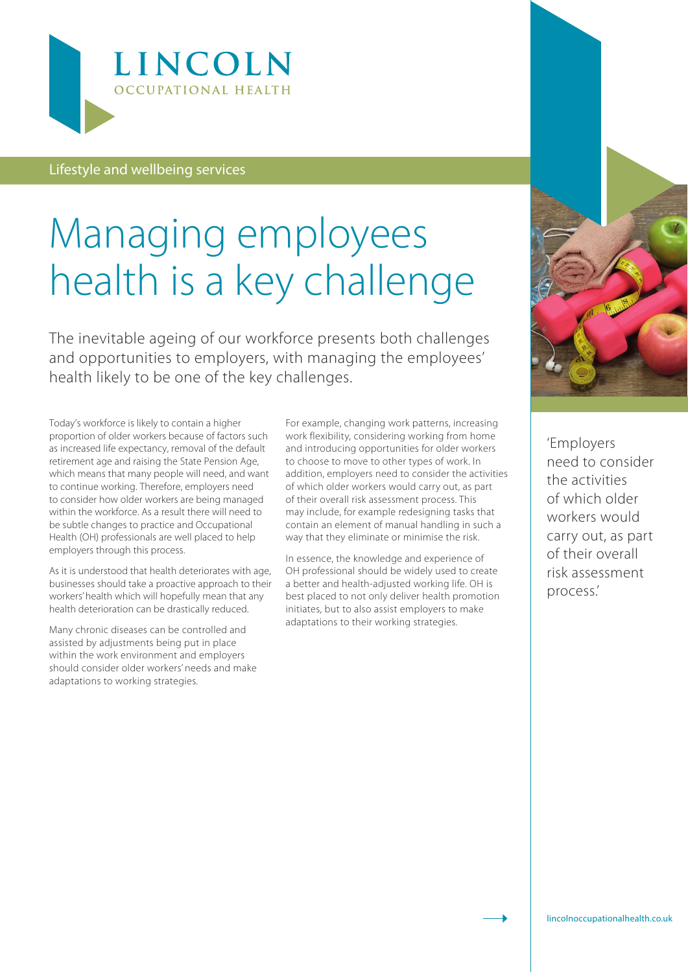

Lifestyle and wellbeing services

## Managing employees health is a key challenge

The inevitable ageing of our workforce presents both challenges and opportunities to employers, with managing the employees' health likely to be one of the key challenges.

Today's workforce is likely to contain a higher proportion of older workers because of factors such as increased life expectancy, removal of the default retirement age and raising the State Pension Age, which means that many people will need, and want to continue working. Therefore, employers need to consider how older workers are being managed within the workforce. As a result there will need to be subtle changes to practice and Occupational Health (OH) professionals are well placed to help employers through this process.

As it is understood that health deteriorates with age, businesses should take a proactive approach to their workers' health which will hopefully mean that any health deterioration can be drastically reduced.

Many chronic diseases can be controlled and assisted by adjustments being put in place within the work environment and employers should consider older workers' needs and make adaptations to working strategies.

For example, changing work patterns, increasing work flexibility, considering working from home and introducing opportunities for older workers to choose to move to other types of work. In addition, employers need to consider the activities of which older workers would carry out, as part of their overall risk assessment process. This may include, for example redesigning tasks that contain an element of manual handling in such a way that they eliminate or minimise the risk.

In essence, the knowledge and experience of OH professional should be widely used to create a better and health-adjusted working life. OH is best placed to not only deliver health promotion initiates, but to also assist employers to make adaptations to their working strategies.



'Employers need to consider the activities of which older workers would carry out, as part of their overall risk assessment process.'